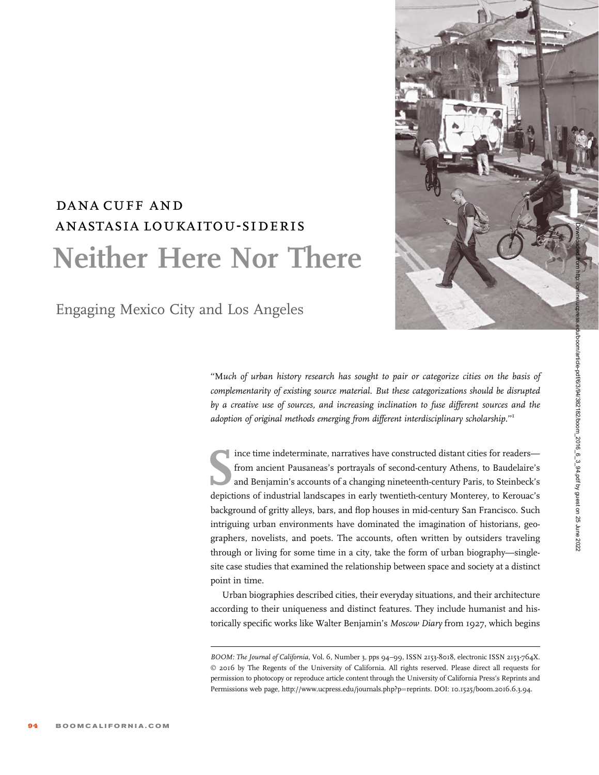## dana cuff and anastasia loukaitou-sideris Neither Here Nor There

Engaging Mexico City and Los Angeles

''Much of urban history research has sought to pair or categorize cities on the basis of complementarity of existing source material. But these categorizations should be disrupted by a creative use of sources, and increasing inclination to fuse different sources and the adoption of original methods emerging from different interdisciplinary scholarship.''1

Ince time indeterminate, narratives have constructed distant cities for readers—<br>from ancient Pausaneas's portrayals of second-century Athens, to Baudelaire's<br>and Benjamin's accounts of a changing nineteenth-century Paris, ince time indeterminate, narratives have constructed distant cities for readers from ancient Pausaneas's portrayals of second-century Athens, to Baudelaire's and Benjamin's accounts of a changing nineteenth-century Paris, to Steinbeck's background of gritty alleys, bars, and flop houses in mid-century San Francisco. Such intriguing urban environments have dominated the imagination of historians, geographers, novelists, and poets. The accounts, often written by outsiders traveling through or living for some time in a city, take the form of urban biography—singlesite case studies that examined the relationship between space and society at a distinct point in time.

Urban biographies described cities, their everyday situations, and their architecture according to their uniqueness and distinct features. They include humanist and historically specific works like Walter Benjamin's Moscow Diary from 1927, which begins



BOOM: The Journal of California, Vol. 6, Number 3, pps 94-99, ISSN 2153-8018, electronic ISSN 2153-764X. © 2016 by The Regents of the University of California. All rights reserved. Please direct all requests for permission to photocopy or reproduce article content through the University of California Press's Reprints and Permissions web page, http://www.ucpress.edu/journals.php?p=reprints. DOI: 10.1525/boom.2016.6.3.94.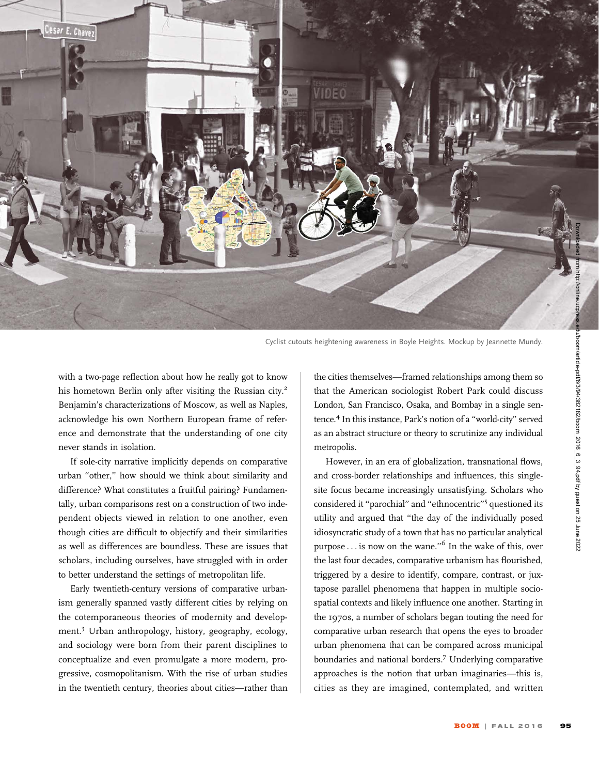

Cyclist cutouts heightening awareness in Boyle Heights. Mockup by Jeannette Mundy.

with a two-page reflection about how he really got to know his hometown Berlin only after visiting the Russian city.<sup>2</sup> Benjamin's characterizations of Moscow, as well as Naples, acknowledge his own Northern European frame of reference and demonstrate that the understanding of one city never stands in isolation.

If sole-city narrative implicitly depends on comparative urban ''other,'' how should we think about similarity and difference? What constitutes a fruitful pairing? Fundamentally, urban comparisons rest on a construction of two independent objects viewed in relation to one another, even though cities are difficult to objectify and their similarities as well as differences are boundless. These are issues that scholars, including ourselves, have struggled with in order to better understand the settings of metropolitan life.

Early twentieth-century versions of comparative urbanism generally spanned vastly different cities by relying on the cotemporaneous theories of modernity and development.<sup>3</sup> Urban anthropology, history, geography, ecology, and sociology were born from their parent disciplines to conceptualize and even promulgate a more modern, progressive, cosmopolitanism. With the rise of urban studies in the twentieth century, theories about cities—rather than

the cities themselves—framed relationships among them so that the American sociologist Robert Park could discuss London, San Francisco, Osaka, and Bombay in a single sentence.<sup>4</sup> In this instance, Park's notion of a "world-city" served as an abstract structure or theory to scrutinize any individual metropolis.

However, in an era of globalization, transnational flows, and cross-border relationships and influences, this singlesite focus became increasingly unsatisfying. Scholars who considered it ''parochial'' and ''ethnocentric''<sup>5</sup> questioned its utility and argued that ''the day of the individually posed idiosyncratic study of a town that has no particular analytical purpose  $\dots$  is now on the wane."<sup>6</sup> In the wake of this, over the last four decades, comparative urbanism has flourished, triggered by a desire to identify, compare, contrast, or juxtapose parallel phenomena that happen in multiple sociospatial contexts and likely influence one another. Starting in the 1970s, a number of scholars began touting the need for comparative urban research that opens the eyes to broader urban phenomena that can be compared across municipal boundaries and national borders.<sup>7</sup> Underlying comparative approaches is the notion that urban imaginaries—this is, cities as they are imagined, contemplated, and written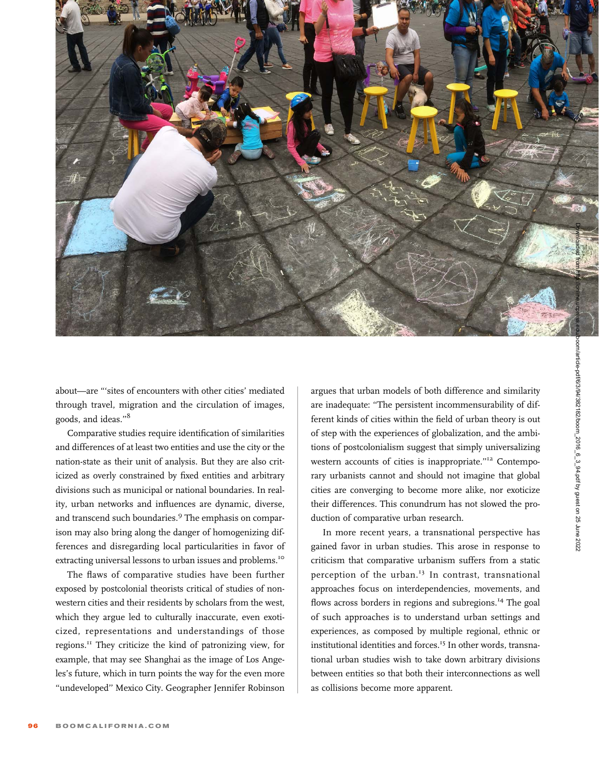

about—are '''sites of encounters with other cities' mediated through travel, migration and the circulation of images, goods, and ideas.''<sup>8</sup>

Comparative studies require identification of similarities and differences of at least two entities and use the city or the nation-state as their unit of analysis. But they are also criticized as overly constrained by fixed entities and arbitrary divisions such as municipal or national boundaries. In reality, urban networks and influences are dynamic, diverse, and transcend such boundaries.<sup>9</sup> The emphasis on comparison may also bring along the danger of homogenizing differences and disregarding local particularities in favor of extracting universal lessons to urban issues and problems.<sup>10</sup>

The flaws of comparative studies have been further exposed by postcolonial theorists critical of studies of nonwestern cities and their residents by scholars from the west, which they argue led to culturally inaccurate, even exoticized, representations and understandings of those regions.<sup>11</sup> They criticize the kind of patronizing view, for example, that may see Shanghai as the image of Los Angeles's future, which in turn points the way for the even more ''undeveloped'' Mexico City. Geographer Jennifer Robinson argues that urban models of both difference and similarity are inadequate: ''The persistent incommensurability of different kinds of cities within the field of urban theory is out of step with the experiences of globalization, and the ambitions of postcolonialism suggest that simply universalizing western accounts of cities is inappropriate.''<sup>12</sup> Contemporary urbanists cannot and should not imagine that global cities are converging to become more alike, nor exoticize their differences. This conundrum has not slowed the production of comparative urban research.

In more recent years, a transnational perspective has gained favor in urban studies. This arose in response to criticism that comparative urbanism suffers from a static perception of the urban.<sup>13</sup> In contrast, transnational approaches focus on interdependencies, movements, and flows across borders in regions and subregions.<sup>14</sup> The goal of such approaches is to understand urban settings and experiences, as composed by multiple regional, ethnic or institutional identities and forces.<sup>15</sup> In other words, transnational urban studies wish to take down arbitrary divisions between entities so that both their interconnections as well as collisions become more apparent.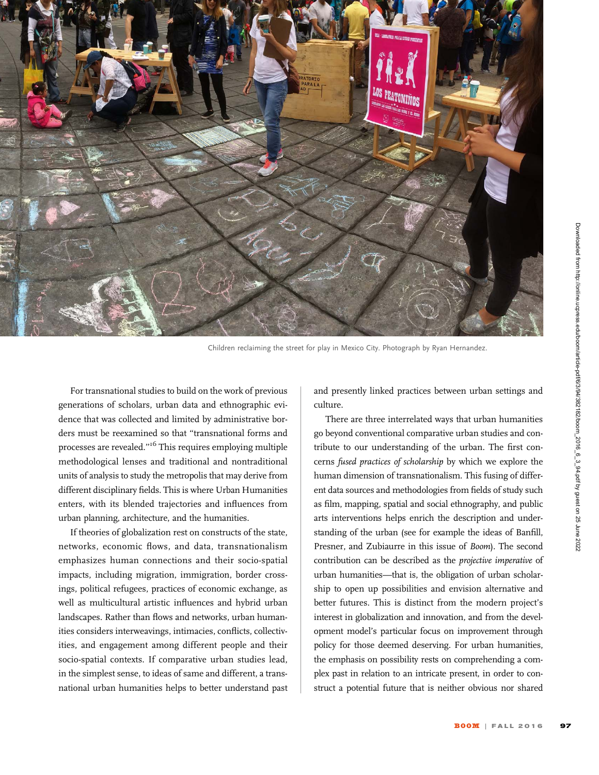

Children reclaiming the street for play in Mexico City. Photograph by Ryan Hernandez.

For transnational studies to build on the work of previous generations of scholars, urban data and ethnographic evidence that was collected and limited by administrative borders must be reexamined so that ''transnational forms and processes are revealed.''<sup>16</sup> This requires employing multiple methodological lenses and traditional and nontraditional units of analysis to study the metropolis that may derive from different disciplinary fields. This is where Urban Humanities enters, with its blended trajectories and influences from urban planning, architecture, and the humanities.

If theories of globalization rest on constructs of the state, networks, economic flows, and data, transnationalism emphasizes human connections and their socio-spatial impacts, including migration, immigration, border crossings, political refugees, practices of economic exchange, as well as multicultural artistic influences and hybrid urban landscapes. Rather than flows and networks, urban humanities considers interweavings, intimacies, conflicts, collectivities, and engagement among different people and their socio-spatial contexts. If comparative urban studies lead, in the simplest sense, to ideas of same and different, a transnational urban humanities helps to better understand past and presently linked practices between urban settings and culture.

There are three interrelated ways that urban humanities go beyond conventional comparative urban studies and contribute to our understanding of the urban. The first concerns fused practices of scholarship by which we explore the human dimension of transnationalism. This fusing of different data sources and methodologies from fields of study such as film, mapping, spatial and social ethnography, and public arts interventions helps enrich the description and understanding of the urban (see for example the ideas of Banfill, Presner, and Zubiaurre in this issue of Boom). The second contribution can be described as the projective imperative of urban humanities—that is, the obligation of urban scholarship to open up possibilities and envision alternative and better futures. This is distinct from the modern project's interest in globalization and innovation, and from the development model's particular focus on improvement through policy for those deemed deserving. For urban humanities, the emphasis on possibility rests on comprehending a complex past in relation to an intricate present, in order to construct a potential future that is neither obvious nor shared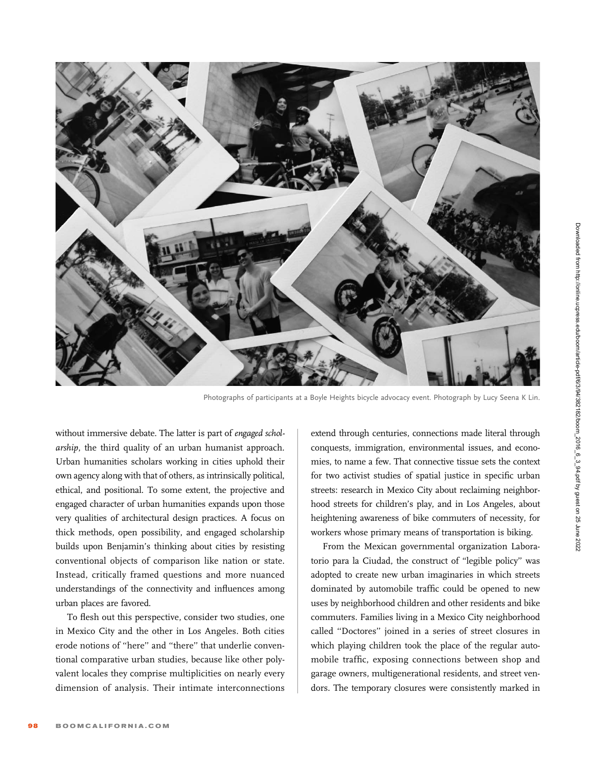

Photographs of participants at a Boyle Heights bicycle advocacy event. Photograph by Lucy Seena K Lin.

without immersive debate. The latter is part of engaged scholarship, the third quality of an urban humanist approach. Urban humanities scholars working in cities uphold their own agency along with that of others, as intrinsically political, ethical, and positional. To some extent, the projective and engaged character of urban humanities expands upon those very qualities of architectural design practices. A focus on thick methods, open possibility, and engaged scholarship builds upon Benjamin's thinking about cities by resisting conventional objects of comparison like nation or state. Instead, critically framed questions and more nuanced understandings of the connectivity and influences among urban places are favored.

To flesh out this perspective, consider two studies, one in Mexico City and the other in Los Angeles. Both cities erode notions of ''here'' and ''there'' that underlie conventional comparative urban studies, because like other polyvalent locales they comprise multiplicities on nearly every dimension of analysis. Their intimate interconnections extend through centuries, connections made literal through conquests, immigration, environmental issues, and economies, to name a few. That connective tissue sets the context for two activist studies of spatial justice in specific urban streets: research in Mexico City about reclaiming neighborhood streets for children's play, and in Los Angeles, about heightening awareness of bike commuters of necessity, for workers whose primary means of transportation is biking.

From the Mexican governmental organization Laboratorio para la Ciudad, the construct of ''legible policy'' was adopted to create new urban imaginaries in which streets dominated by automobile traffic could be opened to new uses by neighborhood children and other residents and bike commuters. Families living in a Mexico City neighborhood called ''Doctores'' joined in a series of street closures in which playing children took the place of the regular automobile traffic, exposing connections between shop and garage owners, multigenerational residents, and street vendors. The temporary closures were consistently marked in